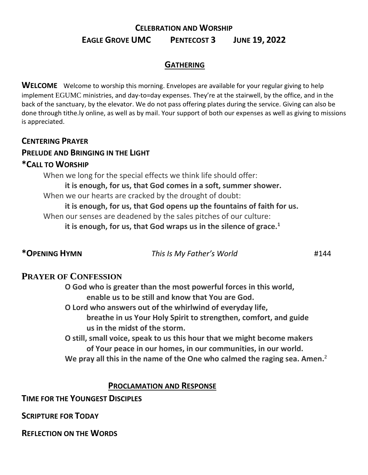# **CELEBRATION AND WORSHIP EAGLE GROVE UMC PENTECOST 3 JUNE 19, 2022**

## **GATHERING**

**WELCOME** Welcome to worship this morning. Envelopes are available for your regular giving to help implement EGUMC ministries, and day-to=day expenses. They're at the stairwell, by the office, and in the back of the sanctuary, by the elevator. We do not pass offering plates during the service. Giving can also be done through tithe.ly online, as well as by mail. Your support of both our expenses as well as giving to missions is appreciated.

#### **CENTERING PRAYER**

## **PRELUDE AND BRINGING IN THE LIGHT**

#### **\*CALL TO WORSHIP**

When we long for the special effects we think life should offer: **it is enough, for us, that God comes in a soft, summer shower.** When we our hearts are cracked by the drought of doubt: **it is enough, for us, that God opens up the fountains of faith for us.** When our senses are deadened by the sales pitches of our culture: **it is enough, for us, that God wraps us in the silence of grace.<sup>1</sup>**

**\*OPENING HYMN** *This Is My Father's World* #144

# **PRAYER OF CONFESSION**

**O God who is greater than the most powerful forces in this world, enable us to be still and know that You are God.** 

- **O Lord who answers out of the whirlwind of everyday life, breathe in us Your Holy Spirit to strengthen, comfort, and guide us in the midst of the storm.**
- **O still, small voice, speak to us this hour that we might become makers of Your peace in our homes, in our communities, in our world. We pray all this in the name of the One who calmed the raging sea. Amen.<sup>2</sup>**

# **PROCLAMATION AND RESPONSE**

**TIME FOR THE YOUNGEST DISCIPLES** 

**SCRIPTURE FOR TODAY** 

**REFLECTION ON THE WORDS**